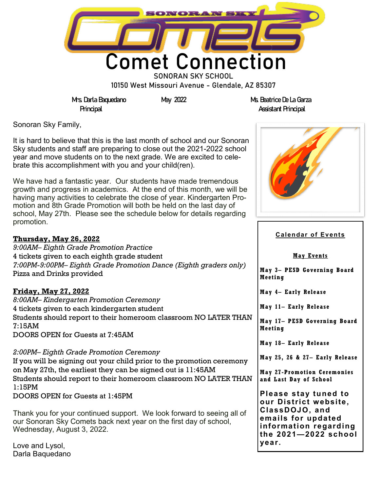

10150 West Missouri Avenue - Glendale, AZ 85307

**Mrs. Darla Baquedano May 2022 Ms. Beatrice De La Garza Principal Assistant Principal**

Sonoran Sky Family,

It is hard to believe that this is the last month of school and our Sonoran Sky students and staff are preparing to close out the 2021-2022 school year and move students on to the next grade. We are excited to celebrate this accomplishment with you and your child(ren).

We have had a fantastic year. Our students have made tremendous growth and progress in academics. At the end of this month, we will be having many activities to celebrate the close of year. Kindergarten Promotion and 8th Grade Promotion will both be held on the last day of school, May 27th. Please see the schedule below for details regarding promotion.

#### **Thursday, May 26, 2022**

*9:00AM– Eighth Grade Promotion Practice* 4 tickets given to each eighth grade student *7:00PM-9:00PM– Eighth Grade Promotion Dance (Eighth graders only)* Pizza and Drinks provided

#### **Friday, May 27, 2022**

*8:00AM– Kindergarten Promotion Ceremony* 4 tickets given to each kindergarten student Students should report to their homeroom classroom NO LATER THAN 7:15AM DOORS OPEN for Guests at 7:45AM

*2:00PM– Eighth Grade Promotion Ceremony* If you will be signing out your child prior to the promotion ceremony on May 27th, the earliest they can be signed out is 11:45AM Students should report to their homeroom classroom NO LATER THAN 1:15PM DOORS OPEN for Guests at 1:45PM

Thank you for your continued support. We look forward to seeing all of our Sonoran Sky Comets back next year on the first day of school, Wednesday, August 3, 2022.

Love and Lysol, Darla Baquedano



#### **Calendar of Events**

**May Events**

**May 3– PESD Governing Board Meeting** 

**May 4– Early Release** 

**May 11– Early Release**

**May 17– PESD Governing Board Meeting** 

**May 18– Early Release**

**May 25, 26 & 27– Early Release**

**May 27 -Promotion Ceremonies and Last Day of School**

**Please stay tuned to our District website, ClassDOJO, and emails for updated information regarding the 2021—2022 school year.**